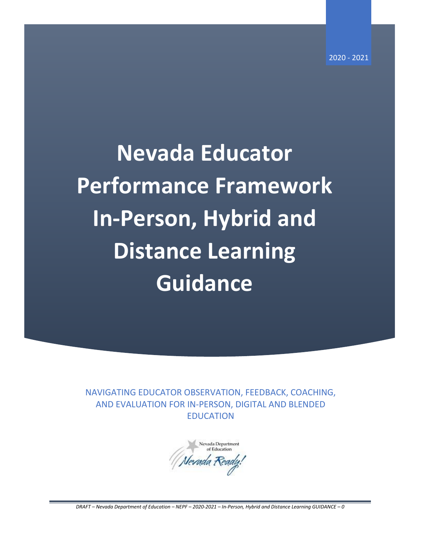**Nevada Educator Performance Framework In-Person, Hybrid and Distance Learning Guidance**

NAVIGATING EDUCATOR OBSERVATION, FEEDBACK, COACHING, AND EVALUATION FOR IN-PERSON, DIGITAL AND BLENDED EDUCATION

Nevada Department of Education Nevada Ready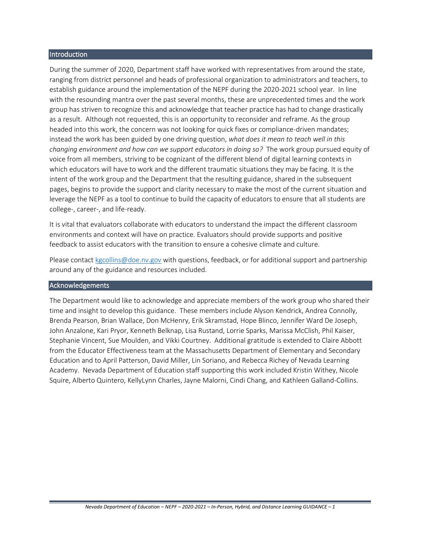#### Introduction

During the summer of 2020, Department staff have worked with representatives from around the state, ranging from district personnel and heads of professional organization to administrators and teachers, to establish guidance around the implementation of the NEPF during the 2020-2021 school year. In line with the resounding mantra over the past several months, these are unprecedented times and the work group has striven to recognize this and acknowledge that teacher practice has had to change drastically as a result. Although not requested, this is an opportunity to reconsider and reframe. As the group headed into this work, the concern was not looking for quick fixes or compliance-driven mandates; instead the work has been guided by one driving question, *what does it mean to teach well in this changing environment and how can we support educators in doing so?* The work group pursued equity of voice from all members, striving to be cognizant of the different blend of digital learning contexts in which educators will have to work and the different traumatic situations they may be facing. It is the intent of the work group and the Department that the resulting guidance, shared in the subsequent pages, begins to provide the support and clarity necessary to make the most of the current situation and leverage the NEPF as a tool to continue to build the capacity of educators to ensure that all students are college-, career-, and life-ready.

It is vital that evaluators collaborate with educators to understand the impact the different classroom environments and context will have on practice. Evaluators should provide supports and positive feedback to assist educators with the transition to ensure a cohesive climate and culture.

Please contac[t kgcollins@doe.nv.gov](mailto:kgcollins@doe.nv.gov) with questions, feedback, or for additional support and partnership around any of the guidance and resources included.

#### Acknowledgements

The Department would like to acknowledge and appreciate members of the work group who shared their time and insight to develop this guidance. These members include Alyson Kendrick, Andrea Connolly, Brenda Pearson, Brian Wallace, Don McHenry, Erik Skramstad, Hope Blinco, Jennifer Ward De Joseph, John Anzalone, Kari Pryor, Kenneth Belknap, Lisa Rustand, Lorrie Sparks, Marissa McClish, Phil Kaiser, Stephanie Vincent, Sue Moulden, and Vikki Courtney. Additional gratitude is extended to Claire Abbott from the Educator Effectiveness team at the Massachusetts Department of Elementary and Secondary Education and to April Patterson, David Miller, Lin Soriano, and Rebecca Richey of Nevada Learning Academy. Nevada Department of Education staff supporting this work included Kristin Withey, Nicole Squire, Alberto Quintero, KellyLynn Charles, Jayne Malorni, Cindi Chang, and Kathleen Galland-Collins.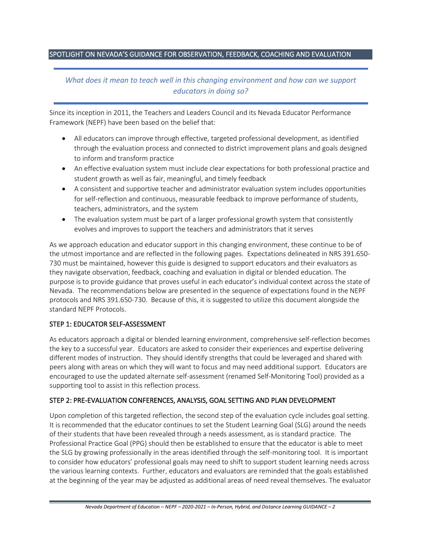# SPOTLIGHT ON NEVADA'S GUIDANCE FOR OBSERVATION, FEEDBACK, COACHING AND EVALUATION

# *What does it mean to teach well in this changing environment and how can we support educators in doing so?*

Since its inception in 2011, the Teachers and Leaders Council and its Nevada Educator Performance Framework (NEPF) have been based on the belief that:

- All educators can improve through effective, targeted professional development, as identified through the evaluation process and connected to district improvement plans and goals designed to inform and transform practice
- An effective evaluation system must include clear expectations for both professional practice and student growth as well as fair, meaningful, and timely feedback
- A consistent and supportive teacher and administrator evaluation system includes opportunities for self-reflection and continuous, measurable feedback to improve performance of students, teachers, administrators, and the system
- The evaluation system must be part of a larger professional growth system that consistently evolves and improves to support the teachers and administrators that it serves

As we approach education and educator support in this changing environment, these continue to be of the utmost importance and are reflected in the following pages. Expectations delineated in NRS 391.650- 730 must be maintained, however this guide is designed to support educators and their evaluators as they navigate observation, feedback, coaching and evaluation in digital or blended education. The purpose is to provide guidance that proves useful in each educator's individual context across the state of Nevada. The recommendations below are presented in the sequence of expectations found in the NEPF protocols and NRS 391.650-730. Because of this, it is suggested to utilize this document alongside the standard NEPF Protocols.

### STEP 1: EDUCATOR SELF-ASSESSMENT

As educators approach a digital or blended learning environment, comprehensive self-reflection becomes the key to a successful year. Educators are asked to consider their experiences and expertise delivering different modes of instruction. They should identify strengths that could be leveraged and shared with peers along with areas on which they will want to focus and may need additional support. Educators are encouraged to use the updated alternate self-assessment (renamed Self-Monitoring Tool) provided as a supporting tool to assist in this reflection process.

### STEP 2: PRE-EVALUATION CONFERENCES, ANALYSIS, GOAL SETTING AND PLAN DEVELOPMENT

Upon completion of this targeted reflection, the second step of the evaluation cycle includes goal setting. It is recommended that the educator continues to set the Student Learning Goal (SLG) around the needs of their students that have been revealed through a needs assessment, as is standard practice. The Professional Practice Goal (PPG) should then be established to ensure that the educator is able to meet the SLG by growing professionally in the areas identified through the self-monitoring tool. It is important to consider how educators' professional goals may need to shift to support student learning needs across the various learning contexts. Further, educators and evaluators are reminded that the goals established at the beginning of the year may be adjusted as additional areas of need reveal themselves. The evaluator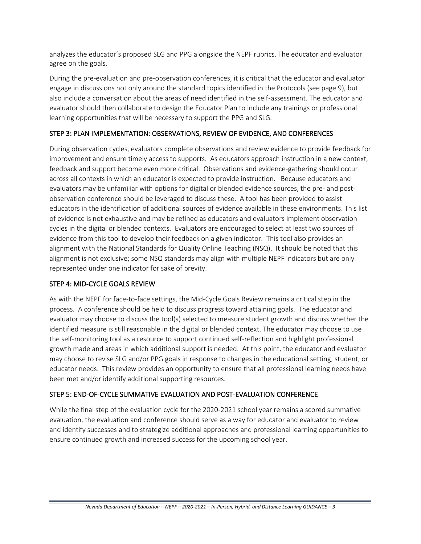analyzes the educator's proposed SLG and PPG alongside the NEPF rubrics. The educator and evaluator agree on the goals.

During the pre-evaluation and pre-observation conferences, it is critical that the educator and evaluator engage in discussions not only around the standard topics identified in the Protocols (see page 9), but also include a conversation about the areas of need identified in the self-assessment. The educator and evaluator should then collaborate to design the Educator Plan to include any trainings or professional learning opportunities that will be necessary to support the PPG and SLG.

# STEP 3: PLAN IMPLEMENTATION: OBSERVATIONS, REVIEW OF EVIDENCE, AND CONFERENCES

During observation cycles, evaluators complete observations and review evidence to provide feedback for improvement and ensure timely access to supports. As educators approach instruction in a new context, feedback and support become even more critical. Observations and evidence-gathering should occur across all contexts in which an educator is expected to provide instruction. Because educators and evaluators may be unfamiliar with options for digital or blended evidence sources, the pre- and postobservation conference should be leveraged to discuss these. A tool has been provided to assist educators in the identification of additional sources of evidence available in these environments. This list of evidence is not exhaustive and may be refined as educators and evaluators implement observation cycles in the digital or blended contexts. Evaluators are encouraged to select at least two sources of evidence from this tool to develop their feedback on a given indicator. This tool also provides an alignment with the National Standards for Quality Online Teaching (NSQ). It should be noted that this alignment is not exclusive; some NSQ standards may align with multiple NEPF indicators but are only represented under one indicator for sake of brevity.

### STEP 4: MID-CYCLE GOALS REVIEW

As with the NEPF for face-to-face settings, the Mid-Cycle Goals Review remains a critical step in the process. A conference should be held to discuss progress toward attaining goals. The educator and evaluator may choose to discuss the tool(s) selected to measure student growth and discuss whether the identified measure is still reasonable in the digital or blended context. The educator may choose to use the self-monitoring tool as a resource to support continued self-reflection and highlight professional growth made and areas in which additional support is needed. At this point, the educator and evaluator may choose to revise SLG and/or PPG goals in response to changes in the educational setting, student, or educator needs. This review provides an opportunity to ensure that all professional learning needs have been met and/or identify additional supporting resources.

### STEP 5: END-OF-CYCLE SUMMATIVE EVALUATION AND POST-EVALUATION CONFERENCE

While the final step of the evaluation cycle for the 2020-2021 school year remains a scored summative evaluation, the evaluation and conference should serve as a way for educator and evaluator to review and identify successes and to strategize additional approaches and professional learning opportunities to ensure continued growth and increased success for the upcoming school year.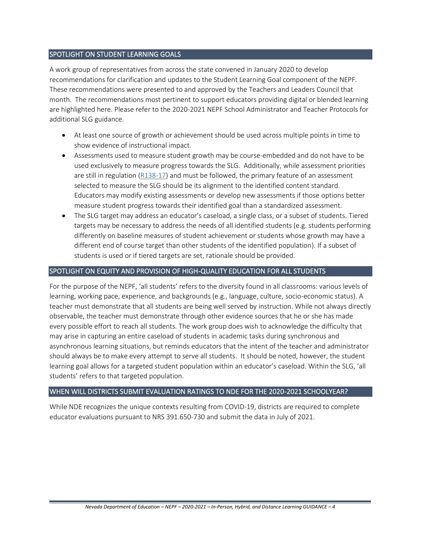### SPOTLIGHT ON STUDENT LEARNING GOALS

A work group of representatives from across the state convened in January 2020 to develop recommendations for clarification and updates to the Student Learning Goal component of the NEPF. These recommendations were presented to and approved by the Teachers and Leaders Council that month. The recommendations most pertinent to support educators providing digital or blended learning are highlighted here. Please refer to the 2020-2021 NEPF School Administrator and Teacher Protocols for additional SLG guidance.

- At least one source of growth or achievement should be used across multiple points in time to show evidence of instructional impact.
- Assessments used to measure student growth may be course-embedded and do not have to be used exclusively to measure progress towards the SLG. Additionally, while assessment priorities are still in regulation [\(R138-17\)](https://www.leg.state.nv.us/Register/2017Register/R138-17AP.pdf) and must be followed, the primary feature of an assessment selected to measure the SLG should be its alignment to the identified content standard. Educators may modify existing assessments or develop new assessments if those options better measure student progress towards their identified goal than a standardized assessment.
- The SLG target may address an educator's caseload, a single class, or a subset of students. Tiered targets may be necessary to address the needs of all identified students (e.g. students performing differently on baseline measures of student achievement or students whose growth may have a different end of course target than other students of the identified population). If a subset of students is used or if tiered targets are set, rationale should be provided.

#### SPOTLIGHT ON EQUITY AND PROVISION OF HIGH-QUALITY EDUCATION FOR ALL STUDENTS

For the purpose of the NEPF, 'all students' refers to the diversity found in all classrooms: various levels of learning, working pace, experience, and backgrounds (e.g., language, culture, socio-economic status). A teacher must demonstrate that all students are being well served by instruction. While not always directly observable, the teacher must demonstrate through other evidence sources that he or she has made every possible effort to reach all students. The work group does wish to acknowledge the difficulty that may arise in capturing an entire caseload of students in academic tasks during synchronous and asynchronous learning situations, but reminds educators that the intent of the teacher and administrator should always be to make every attempt to serve all students. It should be noted, however, the student learning goal allows for a targeted student population within an educator's caseload. Within the SLG, 'all students' refers to that targeted population.

#### WHEN WILL DISTRICTS SUBMIT EVALUATION RATINGS TO NDE FOR THE 2020-2021 SCHOOLYEAR?

While NDE recognizes the unique contexts resulting from COVID-19, districts are required to complete educator evaluations pursuant to NRS 391.650-730 and submit the data in July of 2021.